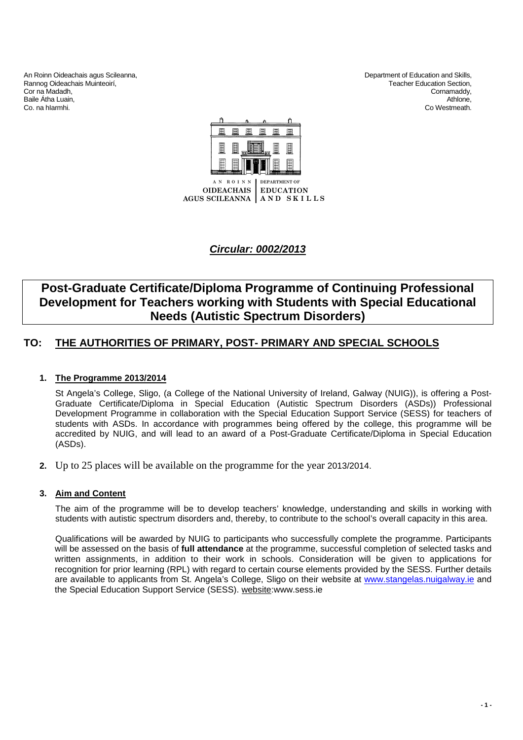An Roinn Oideachais agus Scileanna,<br>
Rannog Oideachais Muinteoirí, Christian and Skills, Department of Education and Skills, Christian and Skills,<br>
Department of Education Section, Rannog Oideachais Muinteoirí, **Edward and Section, Contained Acts** Teacher Education Section, Cornamaddy, Cornamaddy, Cornamaddy, Cor na Madadh,<br>Baile Átha Luain Baile Átha Luain, Athlone, Athlone, Athlone, Athlone, Athlone, Athlone, Athlone, Athlone, Athlone, Athlone, Athlone, Athlone, Athlone, Athlone, Athlone, Athlone, Athlone, Athlone, Athlone, Athlone, Athlone, Athlone, Athlon

Co. na hIarmhi. Co Westmeath.



## **Circular: 0002/2013**

# **Post-Graduate Certificate/Diploma Programme of Continuing Professional Development for Teachers working with Students with Special Educational Needs (Autistic Spectrum Disorders)**

## **TO: THE AUTHORITIES OF PRIMARY, POST- PRIMARY AND SPECIAL SCHOOLS**

## **1. The Programme 2013/2014**

St Angela's College, Sligo, (a College of the National University of Ireland, Galway (NUIG)), is offering a Post-Graduate Certificate/Diploma in Special Education (Autistic Spectrum Disorders (ASDs)) Professional Development Programme in collaboration with the Special Education Support Service (SESS) for teachers of students with ASDs. In accordance with programmes being offered by the college, this programme will be accredited by NUIG, and will lead to an award of a Post-Graduate Certificate/Diploma in Special Education (ASDs).

**2.** Up to 25 places will be available on the programme for the year 2013/2014.

## **3. Aim and Content**

The aim of the programme will be to develop teachers' knowledge, understanding and skills in working with students with autistic spectrum disorders and, thereby, to contribute to the school's overall capacity in this area.

Qualifications will be awarded by NUIG to participants who successfully complete the programme. Participants will be assessed on the basis of **full attendance** at the programme, successful completion of selected tasks and written assignments, in addition to their work in schools. Consideration will be given to applications for recognition for prior learning (RPL) with regard to certain course elements provided by the SESS. Further details are available to applicants from St. Angela's College, Sligo on their website at www.stangelas.nuigalway.ie and the Special Education Support Service (SESS). website:www.sess.ie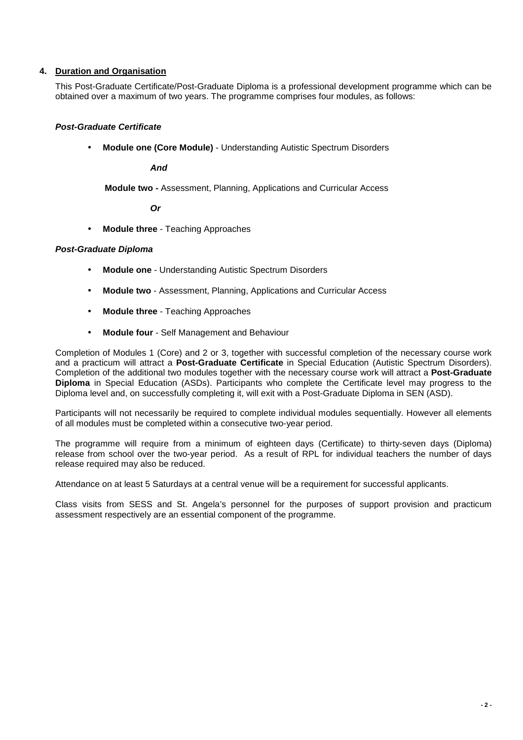## **4. Duration and Organisation**

This Post-Graduate Certificate/Post-Graduate Diploma is a professional development programme which can be obtained over a maximum of two years. The programme comprises four modules, as follows:

## **Post-Graduate Certificate**

• **Module one (Core Module)** - Understanding Autistic Spectrum Disorders

**And** 

**Module two -** Assessment, Planning, Applications and Curricular Access

 **Or** 

• **Module three** - Teaching Approaches

## **Post-Graduate Diploma**

- **Module one** Understanding Autistic Spectrum Disorders
- **Module two** Assessment, Planning, Applications and Curricular Access
- **Module three** Teaching Approaches
- **Module four** Self Management and Behaviour

Completion of Modules 1 (Core) and 2 or 3, together with successful completion of the necessary course work and a practicum will attract a **Post-Graduate Certificate** in Special Education (Autistic Spectrum Disorders). Completion of the additional two modules together with the necessary course work will attract a **Post-Graduate Diploma** in Special Education (ASDs). Participants who complete the Certificate level may progress to the Diploma level and, on successfully completing it, will exit with a Post-Graduate Diploma in SEN (ASD).

Participants will not necessarily be required to complete individual modules sequentially. However all elements of all modules must be completed within a consecutive two-year period.

The programme will require from a minimum of eighteen days (Certificate) to thirty-seven days (Diploma) release from school over the two-year period. As a result of RPL for individual teachers the number of days release required may also be reduced.

Attendance on at least 5 Saturdays at a central venue will be a requirement for successful applicants.

Class visits from SESS and St. Angela's personnel for the purposes of support provision and practicum assessment respectively are an essential component of the programme.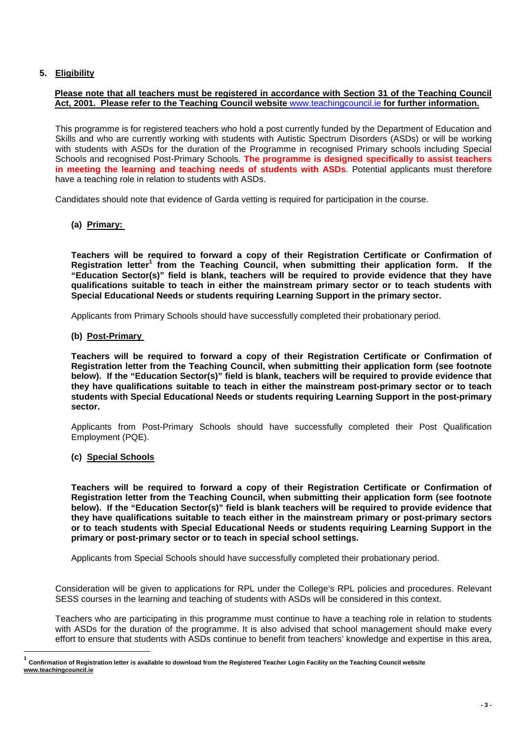## **5. Eligibility**

## **Please note that all teachers must be registered in accordance with Section 31 of the Teaching Council Act, 2001. Please refer to the Teaching Council website** www.teachingcouncil.ie **for further information.**

This programme is for registered teachers who hold a post currently funded by the Department of Education and Skills and who are currently working with students with Autistic Spectrum Disorders (ASDs) or will be working with students with ASDs for the duration of the Programme in recognised Primary schools including Special Schools and recognised Post-Primary Schools. **The programme is designed specifically to assist teachers in meeting the learning and teaching needs of students with ASDs**. Potential applicants must therefore have a teaching role in relation to students with ASDs.

Candidates should note that evidence of Garda vetting is required for participation in the course.

## **(a) Primary:**

**Teachers will be required to forward a copy of their Registration Certificate or Confirmation of Registration letter<sup>1</sup> from the Teaching Council, when submitting their application form. If the "Education Sector(s)" field is blank, teachers will be required to provide evidence that they have qualifications suitable to teach in either the mainstream primary sector or to teach students with Special Educational Needs or students requiring Learning Support in the primary sector.** 

Applicants from Primary Schools should have successfully completed their probationary period.

## **(b) Post-Primary**

**Teachers will be required to forward a copy of their Registration Certificate or Confirmation of Registration letter from the Teaching Council, when submitting their application form (see footnote below). If the "Education Sector(s)" field is blank, teachers will be required to provide evidence that they have qualifications suitable to teach in either the mainstream post-primary sector or to teach students with Special Educational Needs or students requiring Learning Support in the post-primary sector.** 

Applicants from Post-Primary Schools should have successfully completed their Post Qualification Employment (PQE).

## **(c) Special Schools**

 $\overline{a}$ 

**Teachers will be required to forward a copy of their Registration Certificate or Confirmation of Registration letter from the Teaching Council, when submitting their application form (see footnote below). If the "Education Sector(s)" field is blank teachers will be required to provide evidence that they have qualifications suitable to teach either in the mainstream primary or post-primary sectors or to teach students with Special Educational Needs or students requiring Learning Support in the primary or post-primary sector or to teach in special school settings.** 

Applicants from Special Schools should have successfully completed their probationary period.

Consideration will be given to applications for RPL under the College's RPL policies and procedures. Relevant SESS courses in the learning and teaching of students with ASDs will be considered in this context.

Teachers who are participating in this programme must continue to have a teaching role in relation to students with ASDs for the duration of the programme. It is also advised that school management should make every effort to ensure that students with ASDs continue to benefit from teachers' knowledge and expertise in this area,

**<sup>1</sup> Confirmation of Registration letter is available to download from the Registered Teacher Login Facility on the Teaching Council website www.teachingcouncil.ie**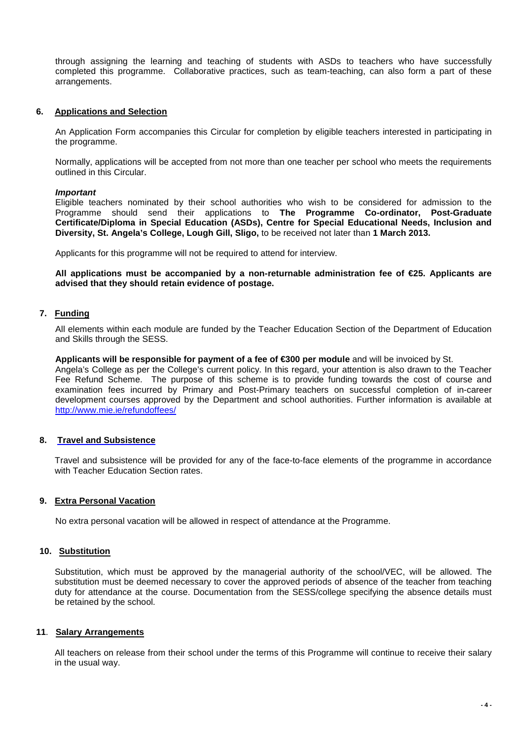through assigning the learning and teaching of students with ASDs to teachers who have successfully completed this programme. Collaborative practices, such as team-teaching, can also form a part of these arrangements.

## **6. Applications and Selection**

An Application Form accompanies this Circular for completion by eligible teachers interested in participating in the programme.

Normally, applications will be accepted from not more than one teacher per school who meets the requirements outlined in this Circular.

## **Important**

Eligible teachers nominated by their school authorities who wish to be considered for admission to the Programme should send their applications to **The Programme Co-ordinator, Post-Graduate Certificate/Diploma in Special Education (ASDs), Centre for Special Educational Needs, Inclusion and Diversity, St. Angela's College, Lough Gill, Sligo,** to be received not later than **1 March 2013.** 

Applicants for this programme will not be required to attend for interview.

**All applications must be accompanied by a non-returnable administration fee of €25. Applicants are advised that they should retain evidence of postage.** 

## **7. Funding**

All elements within each module are funded by the Teacher Education Section of the Department of Education and Skills through the SESS.

#### **Applicants will be responsible for payment of a fee of €300 per module** and will be invoiced by St.

Angela's College as per the College's current policy. In this regard, your attention is also drawn to the Teacher Fee Refund Scheme. The purpose of this scheme is to provide funding towards the cost of course and examination fees incurred by Primary and Post-Primary teachers on successful completion of in-career development courses approved by the Department and school authorities. Further information is available at http://www.mie.ie/refundoffees/

## **8. Travel and Subsistence**

Travel and subsistence will be provided for any of the face-to-face elements of the programme in accordance with Teacher Education Section rates.

## **9. Extra Personal Vacation**

No extra personal vacation will be allowed in respect of attendance at the Programme.

## **10. Substitution**

Substitution, which must be approved by the managerial authority of the school/VEC, will be allowed. The substitution must be deemed necessary to cover the approved periods of absence of the teacher from teaching duty for attendance at the course. Documentation from the SESS/college specifying the absence details must be retained by the school.

## **11**. **Salary Arrangements**

All teachers on release from their school under the terms of this Programme will continue to receive their salary in the usual way.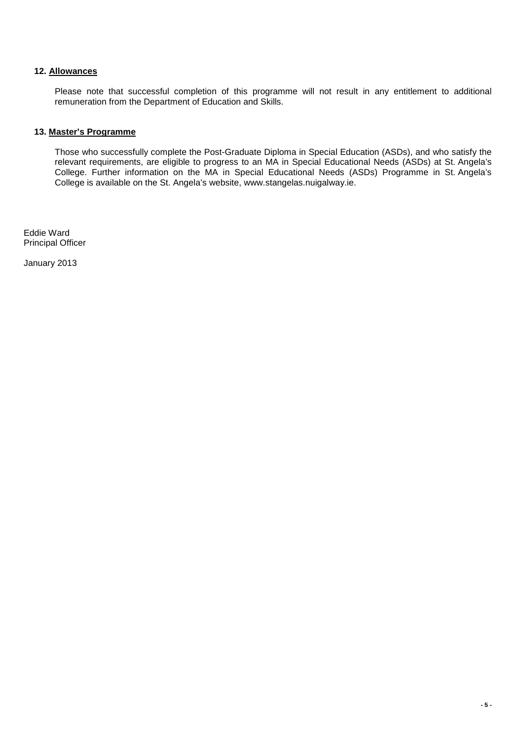## **12. Allowances**

Please note that successful completion of this programme will not result in any entitlement to additional remuneration from the Department of Education and Skills.

## **13. Master's Programme**

Those who successfully complete the Post-Graduate Diploma in Special Education (ASDs), and who satisfy the relevant requirements, are eligible to progress to an MA in Special Educational Needs (ASDs) at St. Angela's College. Further information on the MA in Special Educational Needs (ASDs) Programme in St. Angela's College is available on the St. Angela's website, www.stangelas.nuigalway.ie.

Eddie Ward Principal Officer

January 2013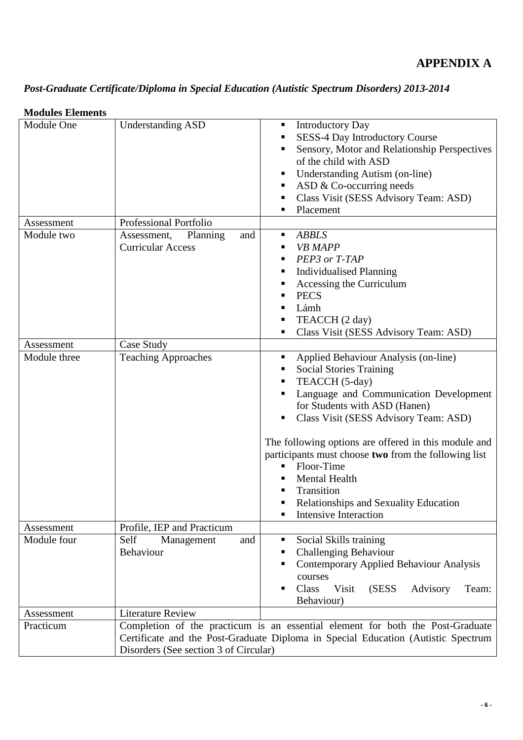# **APPENDIX A**

# *Post-Graduate Certificate/Diploma in Special Education (Autistic Spectrum Disorders) 2013-2014*

## **Modules Elements**

| Module One   | <b>Understanding ASD</b>                                                                                                                                                                                     | <b>Introductory Day</b><br>٠<br><b>SESS-4 Day Introductory Course</b><br>Sensory, Motor and Relationship Perspectives<br>of the child with ASD<br><b>Understanding Autism (on-line)</b><br>п<br>ASD $&$ Co-occurring needs<br>ш<br>Class Visit (SESS Advisory Team: ASD)<br>Placement                                                                                                                                                                                         |  |
|--------------|--------------------------------------------------------------------------------------------------------------------------------------------------------------------------------------------------------------|-------------------------------------------------------------------------------------------------------------------------------------------------------------------------------------------------------------------------------------------------------------------------------------------------------------------------------------------------------------------------------------------------------------------------------------------------------------------------------|--|
| Assessment   | <b>Professional Portfolio</b>                                                                                                                                                                                |                                                                                                                                                                                                                                                                                                                                                                                                                                                                               |  |
| Module two   | Assessment,<br>Planning<br>and<br><b>Curricular Access</b>                                                                                                                                                   | <b>ABBLS</b><br>п<br><b>VB MAPP</b><br>ш<br>PEP3 or T-TAP<br>٠<br><b>Individualised Planning</b><br>Accessing the Curriculum<br><b>PECS</b><br>Lámh<br>п<br>TEACCH (2 day)<br>Class Visit (SESS Advisory Team: ASD)                                                                                                                                                                                                                                                           |  |
| Assessment   | Case Study                                                                                                                                                                                                   |                                                                                                                                                                                                                                                                                                                                                                                                                                                                               |  |
| Module three | <b>Teaching Approaches</b>                                                                                                                                                                                   | Applied Behaviour Analysis (on-line)<br>٠<br><b>Social Stories Training</b><br>п<br>TEACCH (5-day)<br>٠<br>Language and Communication Development<br>for Students with ASD (Hanen)<br>Class Visit (SESS Advisory Team: ASD)<br>The following options are offered in this module and<br>participants must choose two from the following list<br>Floor-Time<br><b>Mental Health</b><br>Transition<br>٠<br><b>Relationships and Sexuality Education</b><br>Intensive Interaction |  |
| Assessment   | Profile, IEP and Practicum                                                                                                                                                                                   |                                                                                                                                                                                                                                                                                                                                                                                                                                                                               |  |
| Module four  | Management<br>Self<br>and<br>Behaviour                                                                                                                                                                       | Social Skills training<br>п<br><b>Challenging Behaviour</b><br>Contemporary Applied Behaviour Analysis<br>courses<br>Class<br>Visit<br>(SESS)<br>Advisory<br>Team:<br>п<br>Behaviour)                                                                                                                                                                                                                                                                                         |  |
| Assessment   | <b>Literature Review</b>                                                                                                                                                                                     |                                                                                                                                                                                                                                                                                                                                                                                                                                                                               |  |
| Practicum    | Completion of the practicum is an essential element for both the Post-Graduate<br>Certificate and the Post-Graduate Diploma in Special Education (Autistic Spectrum<br>Disorders (See section 3 of Circular) |                                                                                                                                                                                                                                                                                                                                                                                                                                                                               |  |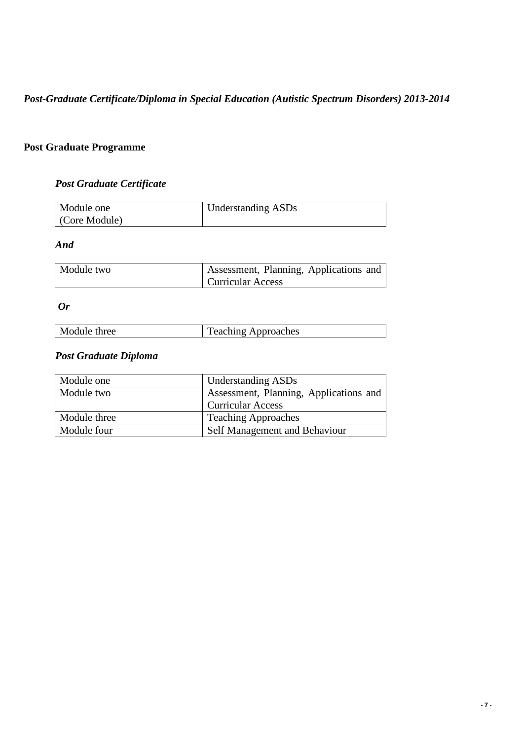*Post-Graduate Certificate/Diploma in Special Education (Autistic Spectrum Disorders) 2013-2014* 

## **Post Graduate Programme**

# *Post Graduate Certificate*

| Module one   | Understanding ASDs |
|--------------|--------------------|
| Core Module) |                    |

## *And*

| Module two | Assessment, Planning, Applications and |
|------------|----------------------------------------|
|            | <b>Curricular Access</b>               |

## *Or*

|--|

# *Post Graduate Diploma*

| Module one   | <b>Understanding ASDs</b>              |
|--------------|----------------------------------------|
| Module two   | Assessment, Planning, Applications and |
|              | <b>Curricular Access</b>               |
| Module three | <b>Teaching Approaches</b>             |
| Module four  | Self Management and Behaviour          |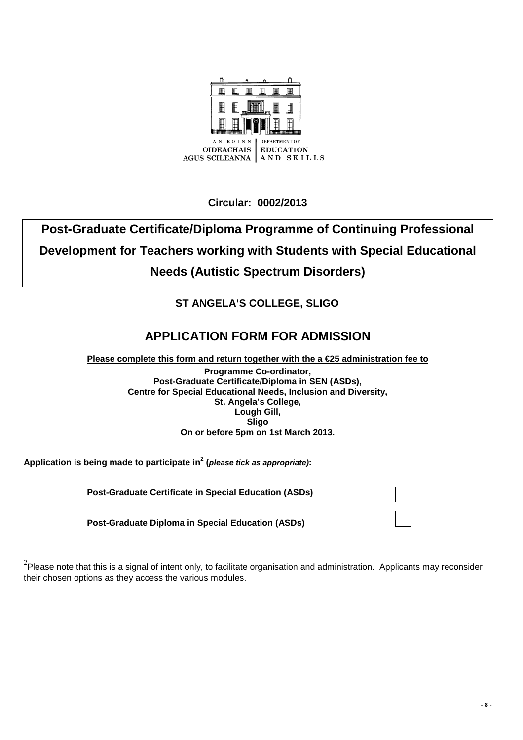

**Circular: 0002/2013**

# **Post-Graduate Certificate/Diploma Programme of Continuing Professional Development for Teachers working with Students with Special Educational Needs (Autistic Spectrum Disorders)**

# **ST ANGELA'S COLLEGE, SLIGO**

# **APPLICATION FORM FOR ADMISSION**

**Please complete this form and return together with the a €25 administration fee to**

**Programme Co-ordinator, Post-Graduate Certificate/Diploma in SEN (ASDs), Centre for Special Educational Needs, Inclusion and Diversity, St. Angela's College, Lough Gill, Sligo On or before 5pm on 1st March 2013.**

**Application is being made to participate in<sup>2</sup> (please tick as appropriate):** 

 $\overline{a}$ 

 **Post-Graduate Certificate in Special Education (ASDs)** 

 **Post-Graduate Diploma in Special Education (ASDs)** 

 $^{2}$ Please note that this is a signal of intent only, to facilitate organisation and administration. Applicants may reconsider their chosen options as they access the various modules.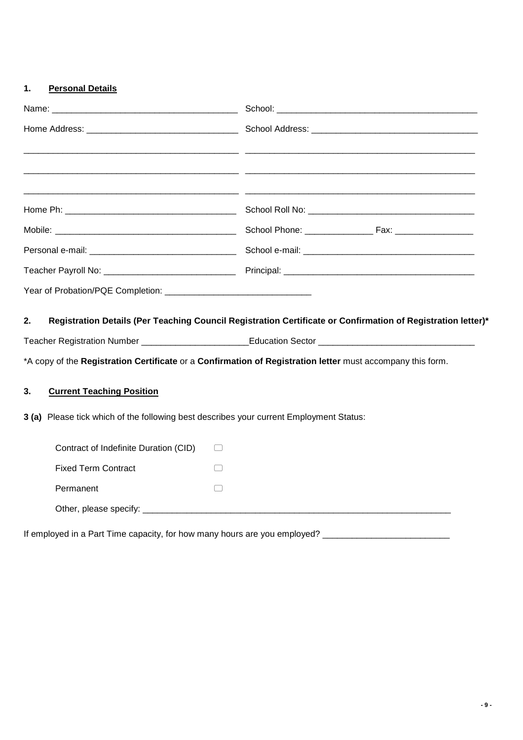## **1. Personal Details**

| 2.                                                                                      | Registration Details (Per Teaching Council Registration Certificate or Confirmation of Registration letter)* |
|-----------------------------------------------------------------------------------------|--------------------------------------------------------------------------------------------------------------|
|                                                                                         |                                                                                                              |
|                                                                                         | *A copy of the Registration Certificate or a Confirmation of Registration letter must accompany this form.   |
| 3.<br><b>Current Teaching Position</b>                                                  |                                                                                                              |
| 3 (a) Please tick which of the following best describes your current Employment Status: |                                                                                                              |
| Contract of Indefinite Duration (CID)                                                   | $\left( \quad \right)$                                                                                       |
| <b>Fixed Term Contract</b>                                                              | $\begin{array}{ccc} \end{array}$                                                                             |
| Permanent                                                                               |                                                                                                              |
| Other, please specify: ______________                                                   |                                                                                                              |

If employed in a Part Time capacity, for how many hours are you employed? \_\_\_\_\_\_\_\_\_\_\_\_\_\_\_\_\_\_\_\_\_\_\_\_\_\_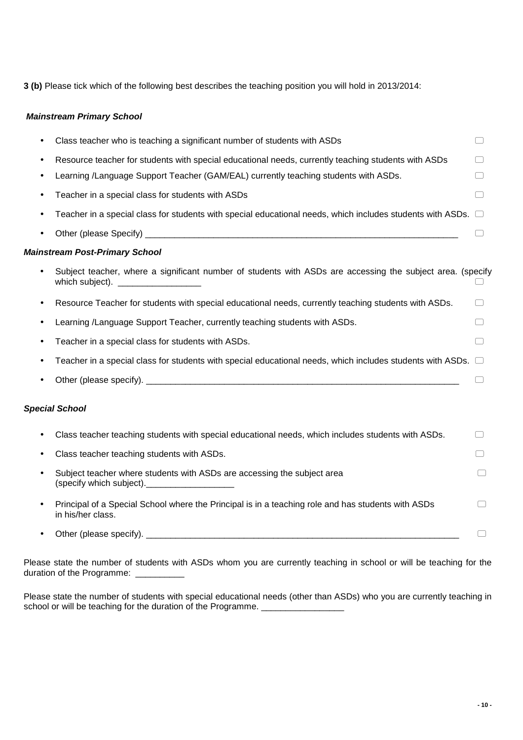**3 (b)** Please tick which of the following best describes the teaching position you will hold in 2013/2014:

## **Mainstream Primary School**

|   | Class teacher who is teaching a significant number of students with ASDs                                                                                                                                                                               | □                               |
|---|--------------------------------------------------------------------------------------------------------------------------------------------------------------------------------------------------------------------------------------------------------|---------------------------------|
|   | Resource teacher for students with special educational needs, currently teaching students with ASDs                                                                                                                                                    |                                 |
|   | Learning /Language Support Teacher (GAM/EAL) currently teaching students with ASDs.                                                                                                                                                                    | $\begin{array}{cc} \end{array}$ |
|   | Teacher in a special class for students with ASDs                                                                                                                                                                                                      | □                               |
|   | Teacher in a special class for students with special educational needs, which includes students with ASDs. $\Box$                                                                                                                                      |                                 |
|   |                                                                                                                                                                                                                                                        |                                 |
|   | <b>Mainstream Post-Primary School</b>                                                                                                                                                                                                                  |                                 |
|   | Subject teacher, where a significant number of students with ASDs are accessing the subject area. (specify<br>which subject).<br><u> a shekara ta 1999 na matsayin a shekara ta 1991 na shekara ta 1991 na shekara ta 1991 na shekara ta 1991 na s</u> |                                 |
| ٠ | Resource Teacher for students with special educational needs, currently teaching students with ASDs.                                                                                                                                                   | $\left( \quad \right)$          |
| ٠ | Learning /Language Support Teacher, currently teaching students with ASDs.                                                                                                                                                                             | □                               |
|   | Teacher in a special class for students with ASDs.                                                                                                                                                                                                     | □                               |
|   | Teacher in a special class for students with special educational needs, which includes students with ASDs. $\Box$                                                                                                                                      |                                 |
|   |                                                                                                                                                                                                                                                        |                                 |
|   | <b>Special School</b>                                                                                                                                                                                                                                  |                                 |
| ٠ | Class teacher teaching students with special educational needs, which includes students with ASDs.                                                                                                                                                     |                                 |
| ٠ | Class teacher teaching students with ASDs.                                                                                                                                                                                                             |                                 |
| ٠ | Subject teacher where students with ASDs are accessing the subject area<br>(specify which subject).                                                                                                                                                    |                                 |
|   | Principal of a Special School where the Principal is in a teaching role and has students with ASDs<br>in his/her class.                                                                                                                                |                                 |
|   |                                                                                                                                                                                                                                                        |                                 |
|   |                                                                                                                                                                                                                                                        |                                 |

Please state the number of students with ASDs whom you are currently teaching in school or will be teaching for the duration of the Programme: \_\_\_\_\_\_\_\_\_\_\_

Please state the number of students with special educational needs (other than ASDs) who you are currently teaching in school or will be teaching for the duration of the Programme.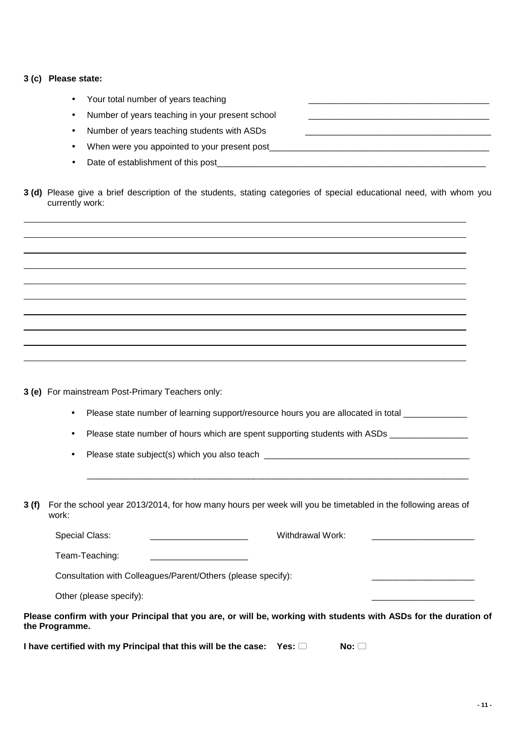## **3 (c) Please state:**

| $\bullet$ | Your total number of years teaching             |  |
|-----------|-------------------------------------------------|--|
| $\bullet$ | Number of years teaching in your present school |  |
| $\bullet$ | Number of years teaching students with ASDs     |  |
|           | When were you appointed to your present post    |  |
|           | Date of establishment of this post              |  |

**3 (d)** Please give a brief description of the students, stating categories of special educational need, with whom you currently work:

**3 (e)** For mainstream Post-Primary Teachers only:

Please state number of learning support/resource hours you are allocated in total \_\_\_\_\_\_\_\_\_\_\_\_\_\_\_

Please state number of hours which are spent supporting students with ASDs \_\_\_\_\_\_\_\_\_\_\_\_\_\_\_\_\_\_\_\_\_\_\_\_\_\_\_\_\_\_\_\_\_\_\_

• Please state subject(s) which you also teach \_\_\_\_\_\_\_\_\_\_\_\_\_\_\_\_\_\_\_\_\_\_\_\_\_\_\_\_\_\_\_\_\_

**3 (f)** For the school year 2013/2014, for how many hours per week will you be timetabled in the following areas of work:

 $\mathcal{L}_\mathcal{L} = \mathcal{L}_\mathcal{L} = \mathcal{L}_\mathcal{L} = \mathcal{L}_\mathcal{L} = \mathcal{L}_\mathcal{L} = \mathcal{L}_\mathcal{L} = \mathcal{L}_\mathcal{L} = \mathcal{L}_\mathcal{L} = \mathcal{L}_\mathcal{L} = \mathcal{L}_\mathcal{L} = \mathcal{L}_\mathcal{L} = \mathcal{L}_\mathcal{L} = \mathcal{L}_\mathcal{L} = \mathcal{L}_\mathcal{L} = \mathcal{L}_\mathcal{L} = \mathcal{L}_\mathcal{L} = \mathcal{L}_\mathcal{L}$ 

Special Class: external work:  $\blacksquare$ Team-Teaching: \_\_\_\_\_\_\_\_\_\_\_\_\_\_\_\_\_\_\_\_

Consultation with Colleagues/Parent/Others (please specify):

Other (please specify):

**Please confirm with your Principal that you are, or will be, working with students with ASDs for the duration of the Programme.** 

**I have certified with my Principal that this will be the case: Yes:**  $\Box$  **No:**  $\Box$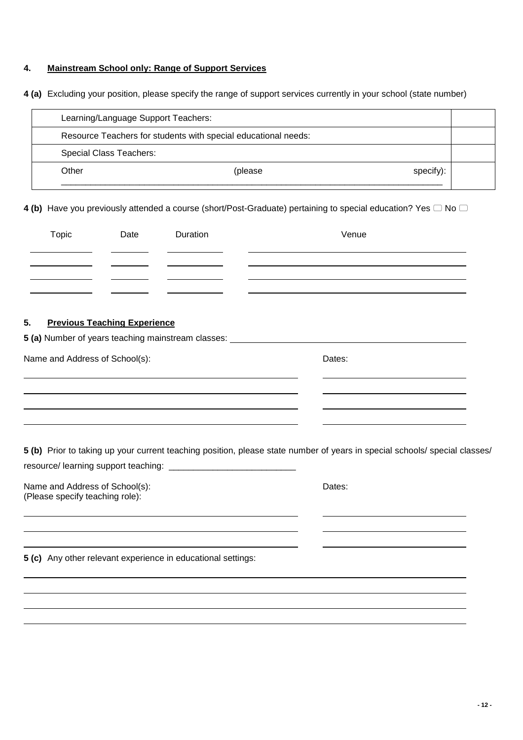## **4. Mainstream School only: Range of Support Services**

**4 (a)** Excluding your position, please specify the range of support services currently in your school (state number)

| Learning/Language Support Teachers: |                                                                |           |  |
|-------------------------------------|----------------------------------------------------------------|-----------|--|
|                                     | Resource Teachers for students with special educational needs: |           |  |
| <b>Special Class Teachers:</b>      |                                                                |           |  |
| Other                               | (please)                                                       | specify): |  |
|                                     |                                                                |           |  |

4 (b) Have you previously attended a course (short/Post-Graduate) pertaining to special education? Yes  $\Box$  No  $\Box$ 

| Topic | Date | Duration | Venue |
|-------|------|----------|-------|
|       |      |          |       |
|       |      |          |       |
|       |      |          |       |

## **5. Previous Teaching Experience**

| 5 (a) Number of years teaching mainstream classes: |        |  |
|----------------------------------------------------|--------|--|
| Name and Address of School(s):                     | Dates: |  |
|                                                    |        |  |
|                                                    |        |  |
|                                                    |        |  |

**5 (b)** Prior to taking up your current teaching position, please state number of years in special schools/ special classes/ resource/ learning support teaching:

| Name and Address of School(s):  | Dates: |
|---------------------------------|--------|
| (Please specify teaching role): |        |

j.

j. j.

**5 (c)** Any other relevant experience in educational settings: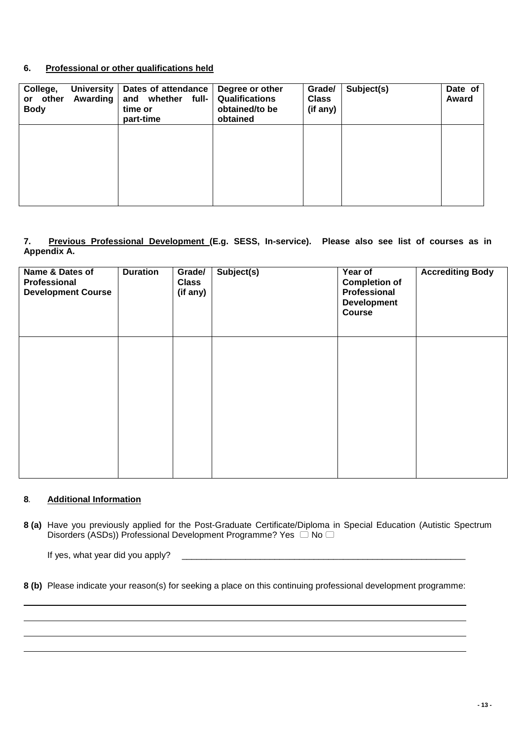## **6. Professional or other qualifications held**

| College,<br>University<br>or other<br>Awarding<br><b>Body</b> | Dates of attendance<br>and whether<br>full-<br>time or<br>part-time | Degree or other<br><b>Qualifications</b><br>obtained/to be<br>obtained | Grade/<br><b>Class</b><br>(if any) | Subject(s) | Date of<br>Award |
|---------------------------------------------------------------|---------------------------------------------------------------------|------------------------------------------------------------------------|------------------------------------|------------|------------------|
|                                                               |                                                                     |                                                                        |                                    |            |                  |
|                                                               |                                                                     |                                                                        |                                    |            |                  |

## **7. Previous Professional Development (E.g. SESS, In-service). Please also see list of courses as in Appendix A.**

| Name & Dates of<br>Professional<br><b>Development Course</b> | <b>Duration</b> | Grade/<br><b>Class</b><br>(if any) | Subject(s) | Year of<br><b>Completion of</b><br>Professional<br><b>Development</b><br>Course | <b>Accrediting Body</b> |
|--------------------------------------------------------------|-----------------|------------------------------------|------------|---------------------------------------------------------------------------------|-------------------------|
|                                                              |                 |                                    |            |                                                                                 |                         |
|                                                              |                 |                                    |            |                                                                                 |                         |

## **8**. **Additional Information**

**8 (a)** Have you previously applied for the Post-Graduate Certificate/Diploma in Special Education (Autistic Spectrum Disorders (ASDs)) Professional Development Programme? Yes  $\Box$  No  $\Box$ 

If yes, what year did you apply? \_\_\_\_\_\_\_\_\_\_\_\_\_\_\_\_\_\_\_\_\_\_\_\_\_\_\_\_\_\_\_\_\_\_\_\_\_\_\_\_\_\_\_\_\_\_\_\_\_\_\_\_\_\_\_\_\_\_

**8 (b)** Please indicate your reason(s) for seeking a place on this continuing professional development programme: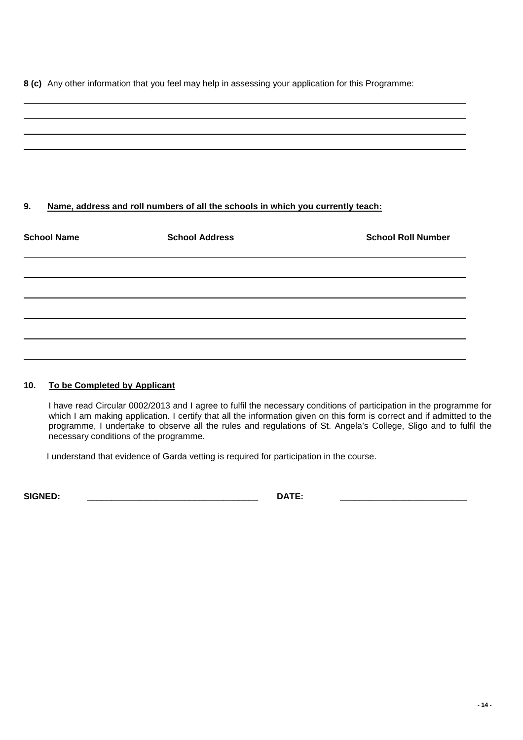**8 (c)** Any other information that you feel may help in assessing your application for this Programme:

# **9. Name, address and roll numbers of all the schools in which you currently teach: School Name School Address School Roll Number**

## **10. To be Completed by Applicant**

I have read Circular 0002/2013 and I agree to fulfil the necessary conditions of participation in the programme for which I am making application. I certify that all the information given on this form is correct and if admitted to the programme, I undertake to observe all the rules and regulations of St. Angela's College, Sligo and to fulfil the necessary conditions of the programme.

I understand that evidence of Garda vetting is required for participation in the course.

**SIGNED:** \_\_\_\_\_\_\_\_\_\_\_\_\_\_\_\_\_\_\_\_\_\_\_\_\_\_\_\_\_\_\_\_\_\_\_ **DATE:** \_\_\_\_\_\_\_\_\_\_\_\_\_\_\_\_\_\_\_\_\_\_\_\_\_\_